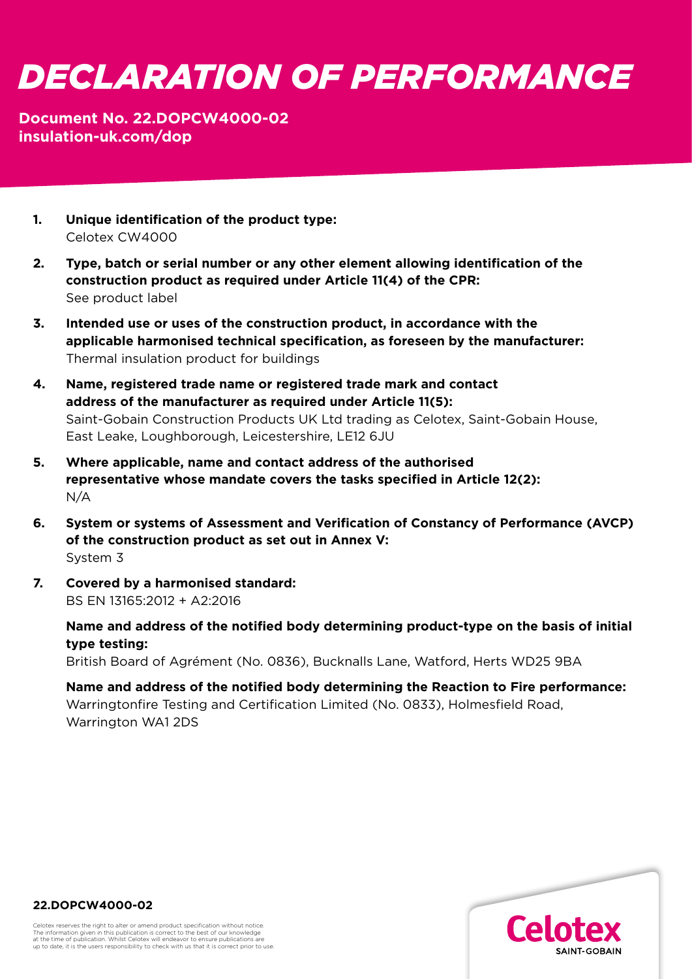# *DECLARATION OF PERFORMANCE*

## **Document No. 22.DOPCW4000-02 [insulation-uk.com/dop](https://insulation-uk.com/technical-services/resources/ce-marking)**

- **1. Unique identification of the product type:**  Celotex CW4000
- **2. Type, batch or serial number or any other element allowing identification of the construction product as required under Article 11(4) of the CPR:** See product label
- **3. Intended use or uses of the construction product, in accordance with the applicable harmonised technical specification, as foreseen by the manufacturer:**  Thermal insulation product for buildings
- **4. Name, registered trade name or registered trade mark and contact address of the manufacturer as required under Article 11(5):**  Saint-Gobain Construction Products UK Ltd trading as Celotex, Saint-Gobain House, East Leake, Loughborough, Leicestershire, LE12 6JU
- **5. Where applicable, name and contact address of the authorised representative whose mandate covers the tasks specified in Article 12(2):**  N/A
- **6. System or systems of Assessment and Verification of Constancy of Performance (AVCP) of the construction product as set out in Annex V:**  System 3
- **7. Covered by a harmonised standard:**  BS EN 13165:2012 + A2:2016

 **Name and address of the notified body determining product-type on the basis of initial type testing:**

British Board of Agrément (No. 0836), Bucknalls Lane, Watford, Herts WD25 9BA

 **Name and address of the notified body determining the Reaction to Fire performance:** Warringtonfire Testing and Certification Limited (No. 0833), Holmesfield Road, Warrington WA1 2DS



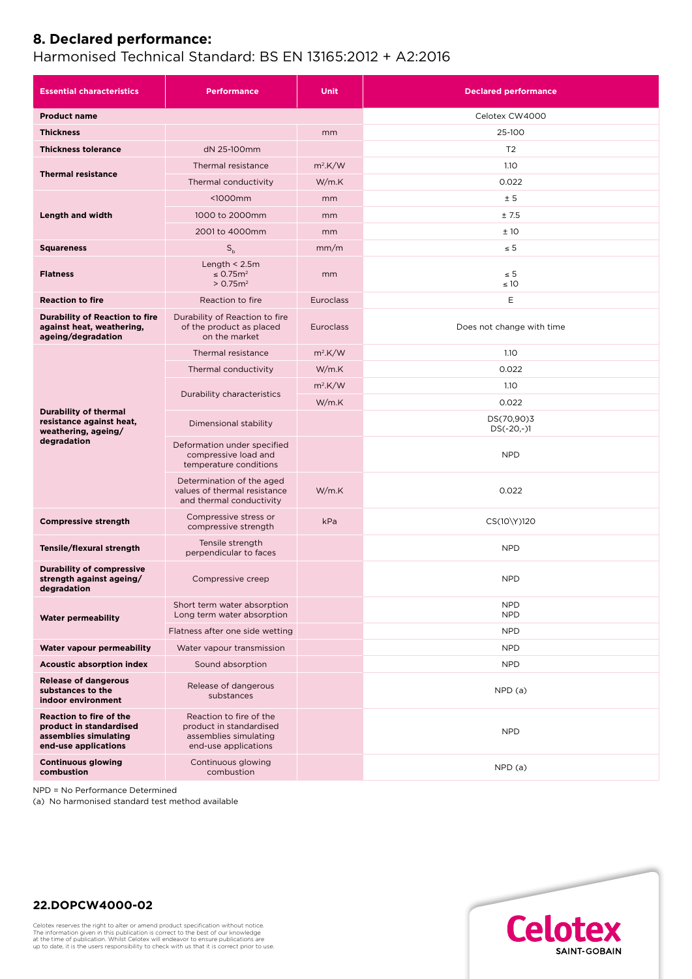## **8. Declared performance:**

#### Harmonised Technical Standard: BS EN 13165:2012 + A2:2016

| <b>Essential characteristics</b>                                                                           | <b>Performance</b>                                                                                  | <b>Unit</b>      | <b>Declared performance</b> |
|------------------------------------------------------------------------------------------------------------|-----------------------------------------------------------------------------------------------------|------------------|-----------------------------|
| <b>Product name</b>                                                                                        |                                                                                                     |                  | Celotex CW4000              |
| <b>Thickness</b>                                                                                           |                                                                                                     | mm               | 25-100                      |
| <b>Thickness tolerance</b>                                                                                 | dN 25-100mm                                                                                         |                  | T <sub>2</sub>              |
| <b>Thermal resistance</b>                                                                                  | Thermal resistance                                                                                  | $m^2$ .K/W       | 1.10                        |
|                                                                                                            | Thermal conductivity                                                                                | W/m.K            | 0.022                       |
| Length and width                                                                                           | $1000mm$                                                                                            | mm               | ± 5                         |
|                                                                                                            | 1000 to 2000mm                                                                                      | mm               | ±7.5                        |
|                                                                                                            | 2001 to 4000mm                                                                                      | mm               | ±10                         |
| <b>Squareness</b>                                                                                          | $S_h$                                                                                               | mm/m             | $\leq 5$                    |
| <b>Flatness</b>                                                                                            | Length $<$ 2.5m<br>$\leq$ 0.75 $m2$<br>> 0.75 m <sup>2</sup>                                        | mm               | $\leq 5$<br>$\leq 10$       |
| <b>Reaction to fire</b>                                                                                    | Reaction to fire                                                                                    | <b>Euroclass</b> | Ε                           |
| <b>Durability of Reaction to fire</b><br>against heat, weathering,<br>ageing/degradation                   | Durability of Reaction to fire<br>of the product as placed<br>on the market                         | <b>Euroclass</b> | Does not change with time   |
| <b>Durability of thermal</b><br>resistance against heat,<br>weathering, ageing/<br>degradation             | Thermal resistance                                                                                  | $m2$ .K/W        | 1.10                        |
|                                                                                                            | Thermal conductivity                                                                                | W/m.K            | 0.022                       |
|                                                                                                            | Durability characteristics                                                                          | $m^2$ .K/W       | 1.10                        |
|                                                                                                            |                                                                                                     | W/m.K            | 0.022                       |
|                                                                                                            | Dimensional stability                                                                               |                  | DS(70,90)3<br>$DS(-20,-)1$  |
|                                                                                                            | Deformation under specified<br>compressive load and<br>temperature conditions                       |                  | <b>NPD</b>                  |
|                                                                                                            | Determination of the aged<br>values of thermal resistance<br>and thermal conductivity               | W/m.K            | 0.022                       |
| <b>Compressive strength</b>                                                                                | Compressive stress or<br>compressive strength                                                       | kPa              | CS(10\Y)120                 |
| Tensile/flexural strength                                                                                  | Tensile strength<br>perpendicular to faces                                                          |                  | <b>NPD</b>                  |
| <b>Durability of compressive</b><br>strength against ageing/<br>degradation                                | Compressive creep                                                                                   |                  | <b>NPD</b>                  |
| <b>Water permeability</b>                                                                                  | Short term water absorption<br>Long term water absorption                                           |                  | <b>NPD</b><br><b>NPD</b>    |
|                                                                                                            | Flatness after one side wetting                                                                     |                  | <b>NPD</b>                  |
| Water vapour permeability                                                                                  | Water vapour transmission                                                                           |                  | <b>NPD</b>                  |
| <b>Acoustic absorption index</b>                                                                           | Sound absorption                                                                                    |                  | <b>NPD</b>                  |
| <b>Release of dangerous</b><br>substances to the<br>indoor environment                                     | Release of dangerous<br>substances                                                                  |                  | NPD(a)                      |
| <b>Reaction to fire of the</b><br>product in standardised<br>assemblies simulating<br>end-use applications | Reaction to fire of the<br>product in standardised<br>assemblies simulating<br>end-use applications |                  | <b>NPD</b>                  |
| <b>Continuous glowing</b><br>combustion                                                                    | Continuous glowing<br>combustion                                                                    |                  | NPD(a)                      |

NPD = No Performance Determined

(a) No harmonised standard test method available



#### **22.DOPCW4000-02**